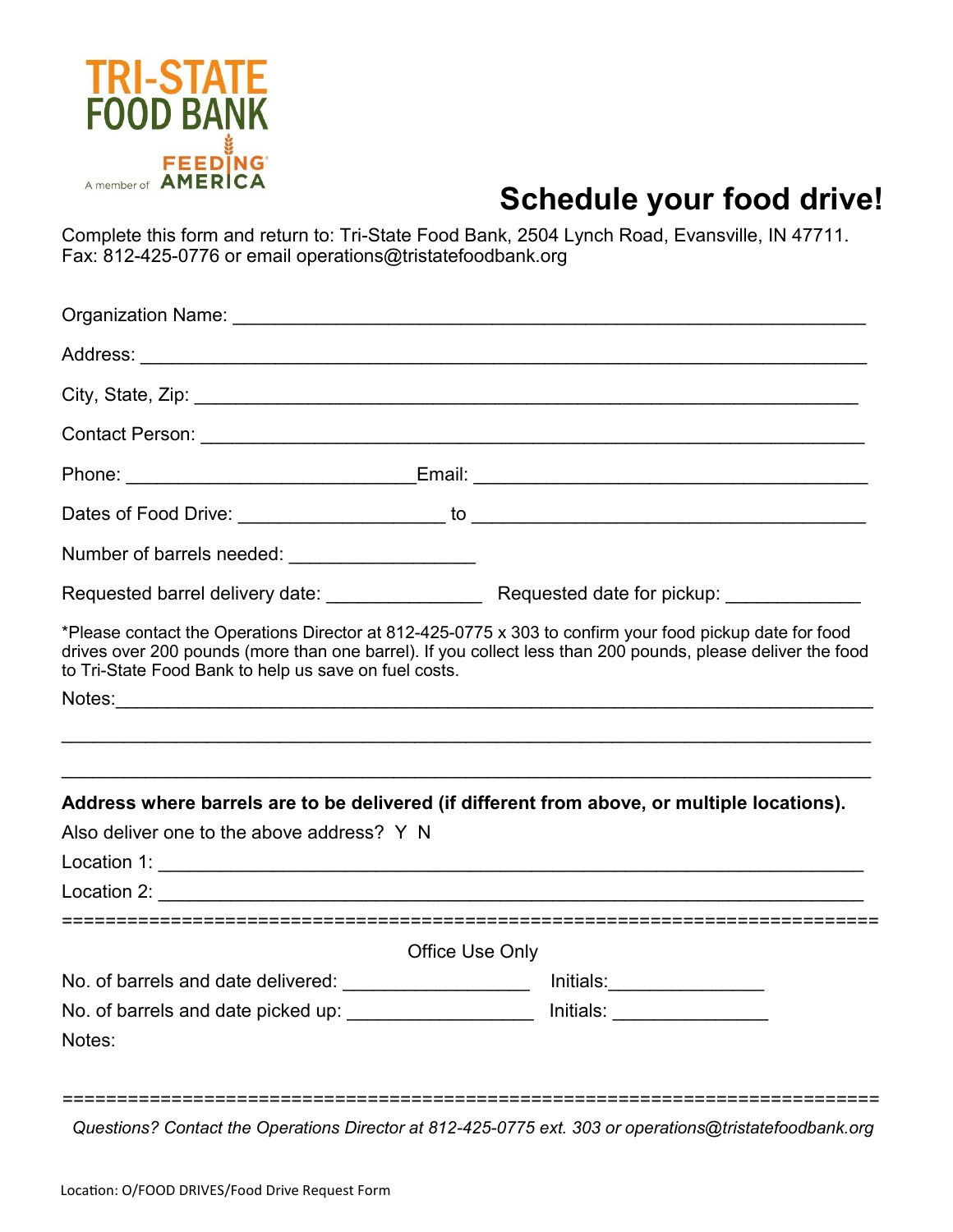

## **Schedule your food drive!**

Complete this form and return to: Tri-State Food Bank, 2504 Lynch Road, Evansville, IN 47711. Fax: 812-425-0776 or email operations@tristatefoodbank.org

|                                                                                                                                                                                                      |                 | Phone: ________________________________Email: ___________________________________                                                                                                                                      |  |
|------------------------------------------------------------------------------------------------------------------------------------------------------------------------------------------------------|-----------------|------------------------------------------------------------------------------------------------------------------------------------------------------------------------------------------------------------------------|--|
|                                                                                                                                                                                                      |                 |                                                                                                                                                                                                                        |  |
| Number of barrels needed: _____________________                                                                                                                                                      |                 |                                                                                                                                                                                                                        |  |
|                                                                                                                                                                                                      |                 |                                                                                                                                                                                                                        |  |
| to Tri-State Food Bank to help us save on fuel costs.                                                                                                                                                |                 | *Please contact the Operations Director at 812-425-0775 x 303 to confirm your food pickup date for food<br>drives over 200 pounds (more than one barrel). If you collect less than 200 pounds, please deliver the food |  |
|                                                                                                                                                                                                      |                 |                                                                                                                                                                                                                        |  |
|                                                                                                                                                                                                      |                 | Address where barrels are to be delivered (if different from above, or multiple locations).                                                                                                                            |  |
| Also deliver one to the above address? Y N                                                                                                                                                           |                 |                                                                                                                                                                                                                        |  |
|                                                                                                                                                                                                      |                 |                                                                                                                                                                                                                        |  |
| Location 2: <b>Example 2: Example 2: Example 2: Example 2: Example 2: Example 2: Example 2: Example 2: Example 2: Example 2: Example 2: Example 2: Example 2: Example 2: Example 2: Example 2: E</b> |                 |                                                                                                                                                                                                                        |  |
|                                                                                                                                                                                                      | Office Use Only |                                                                                                                                                                                                                        |  |
| No. of barrels and date delivered: _______________________ lnitials:_____________                                                                                                                    |                 |                                                                                                                                                                                                                        |  |
| No. of barrels and date picked up: _____________________ Initials: _____________                                                                                                                     |                 |                                                                                                                                                                                                                        |  |
| Notes:                                                                                                                                                                                               |                 |                                                                                                                                                                                                                        |  |
|                                                                                                                                                                                                      |                 |                                                                                                                                                                                                                        |  |

*Questions? Contact the Operations Director at 812-425-0775 ext. 303 or operations@tristatefoodbank.org*